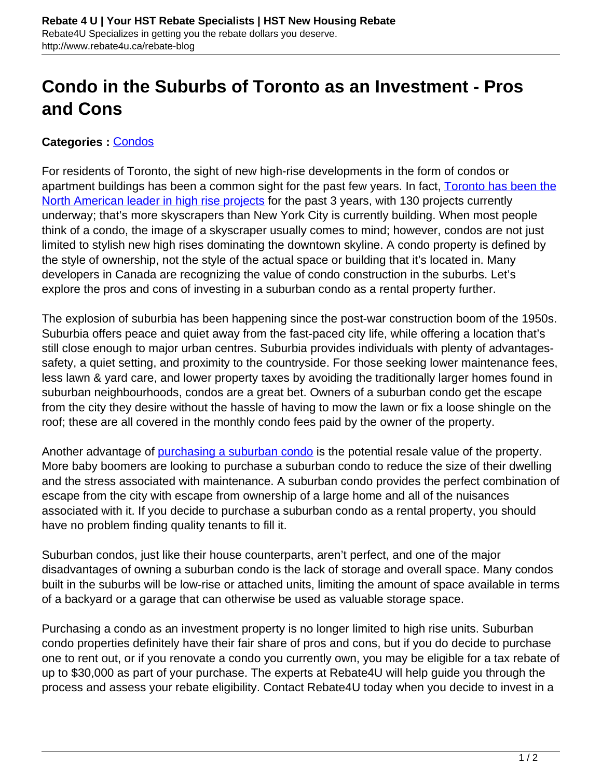## **Condo in the Suburbs of Toronto as an Investment - Pros and Cons**

## **Categories :** [Condos](http://www.rebate4u.ca/rebate-blog/category/condos/)

For residents of Toronto, the sight of new high-rise developments in the form of condos or apartment buildings has been a common sight for the past few years. In fact, [Toronto has been the](http://blogs.wsj.com/canadarealtime/2014/01/17/toronto-still-leads-north-america-high-rise-construction/) [North American leader in high rise projects](http://blogs.wsj.com/canadarealtime/2014/01/17/toronto-still-leads-north-america-high-rise-construction/) for the past 3 years, with 130 projects currently underway; that's more skyscrapers than New York City is currently building. When most people think of a condo, the image of a skyscraper usually comes to mind; however, condos are not just limited to stylish new high rises dominating the downtown skyline. A condo property is defined by the style of ownership, not the style of the actual space or building that it's located in. Many developers in Canada are recognizing the value of condo construction in the suburbs. Let's explore the pros and cons of investing in a suburban condo as a rental property further.

The explosion of suburbia has been happening since the post-war construction boom of the 1950s. Suburbia offers peace and quiet away from the fast-paced city life, while offering a location that's still close enough to major urban centres. Suburbia provides individuals with plenty of advantagessafety, a quiet setting, and proximity to the countryside. For those seeking lower maintenance fees, less lawn & yard care, and lower property taxes by avoiding the traditionally larger homes found in suburban neighbourhoods, condos are a great bet. Owners of a suburban condo get the escape from the city they desire without the hassle of having to mow the lawn or fix a loose shingle on the roof; these are all covered in the monthly condo fees paid by the owner of the property.

Another advantage of **purchasing a suburban condo** is the potential resale value of the property. More baby boomers are looking to purchase a suburban condo to reduce the size of their dwelling and the stress associated with maintenance. A suburban condo provides the perfect combination of escape from the city with escape from ownership of a large home and all of the nuisances associated with it. If you decide to purchase a suburban condo as a rental property, you should have no problem finding quality tenants to fill it.

Suburban condos, just like their house counterparts, aren't perfect, and one of the major disadvantages of owning a suburban condo is the lack of storage and overall space. Many condos built in the suburbs will be low-rise or attached units, limiting the amount of space available in terms of a backyard or a garage that can otherwise be used as valuable storage space.

Purchasing a condo as an investment property is no longer limited to high rise units. Suburban condo properties definitely have their fair share of pros and cons, but if you do decide to purchase one to rent out, or if you renovate a condo you currently own, you may be eligible for a tax rebate of up to \$30,000 as part of your purchase. The experts at Rebate4U will help guide you through the process and assess your rebate eligibility. Contact Rebate4U today when you decide to invest in a